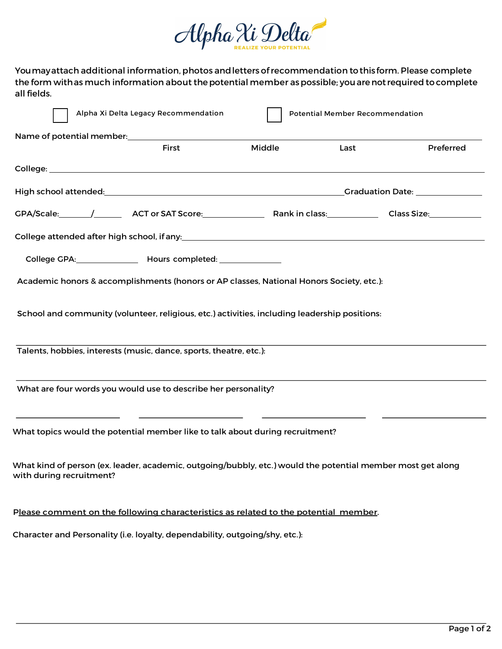

Youmayattach additional information, photos andletters ofrecommendation tothis form. Please complete the form withas much information about the potential member as possible; you are not required to complete all fields.

|                          |  | Alpha Xi Delta Legacy Recommendation                                                                                                  |        | <b>Potential Member Recommendation</b> |           |  |
|--------------------------|--|---------------------------------------------------------------------------------------------------------------------------------------|--------|----------------------------------------|-----------|--|
|                          |  | Name of potential member:<br>Name of potential member:                                                                                |        |                                        |           |  |
|                          |  | First                                                                                                                                 | Middle | Last                                   | Preferred |  |
|                          |  |                                                                                                                                       |        |                                        |           |  |
|                          |  |                                                                                                                                       |        |                                        |           |  |
|                          |  |                                                                                                                                       |        |                                        |           |  |
|                          |  |                                                                                                                                       |        |                                        |           |  |
|                          |  | College GPA: _________________ Hours completed: _______________                                                                       |        |                                        |           |  |
|                          |  | Academic honors & accomplishments (honors or AP classes, National Honors Society, etc.):                                              |        |                                        |           |  |
|                          |  | School and community (volunteer, religious, etc.) activities, including leadership positions:                                         |        |                                        |           |  |
|                          |  | Talents, hobbies, interests (music, dance, sports, theatre, etc.):                                                                    |        |                                        |           |  |
|                          |  | What are four words you would use to describe her personality?                                                                        |        |                                        |           |  |
|                          |  | <u> 1989 - Johann Barn, fransk politik (d. 1989)</u><br>What topics would the potential member like to talk about during recruitment? |        |                                        |           |  |
| with during recruitment? |  | What kind of person (ex. leader, academic, outgoing/bubbly, etc.) would the potential member most get along                           |        |                                        |           |  |
|                          |  | Please comment on the following characteristics as related to the potential member.                                                   |        |                                        |           |  |
|                          |  | Character and Personality (i.e. loyalty, dependability, outgoing/shy, etc.):                                                          |        |                                        |           |  |